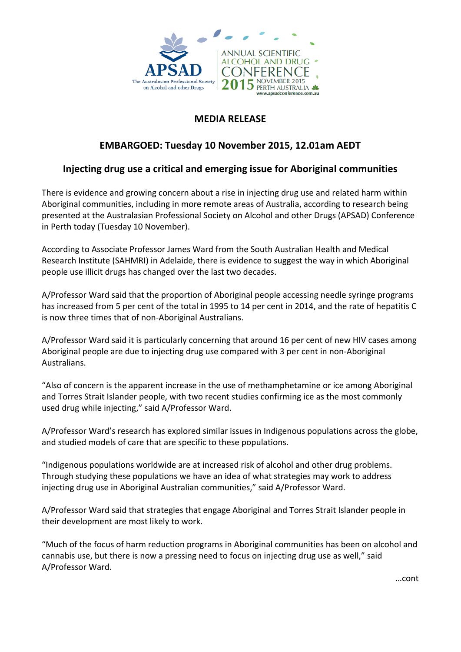

## **MEDIA RELEASE**

# **EMBARGOED: Tuesday 10 November 2015, 12.01am AEDT**

# **Injecting drug use a critical and emerging issue for Aboriginal communities**

There is evidence and growing concern about a rise in injecting drug use and related harm within Aboriginal communities, including in more remote areas of Australia, according to research being presented at the Australasian Professional Society on Alcohol and other Drugs (APSAD) Conference in Perth today (Tuesday 10 November).

According to Associate Professor James Ward from the South Australian Health and Medical Research Institute (SAHMRI) in Adelaide, there is evidence to suggest the way in which Aboriginal people use illicit drugs has changed over the last two decades.

A/Professor Ward said that the proportion of Aboriginal people accessing needle syringe programs has increased from 5 per cent of the total in 1995 to 14 per cent in 2014, and the rate of hepatitis C is now three times that of non-Aboriginal Australians.

A/Professor Ward said it is particularly concerning that around 16 per cent of new HIV cases among Aboriginal people are due to injecting drug use compared with 3 per cent in non-Aboriginal Australians.

"Also of concern is the apparent increase in the use of methamphetamine or ice among Aboriginal and Torres Strait Islander people, with two recent studies confirming ice as the most commonly used drug while injecting," said A/Professor Ward.

A/Professor Ward's research has explored similar issues in Indigenous populations across the globe, and studied models of care that are specific to these populations.

"Indigenous populations worldwide are at increased risk of alcohol and other drug problems. Through studying these populations we have an idea of what strategies may work to address injecting drug use in Aboriginal Australian communities," said A/Professor Ward.

A/Professor Ward said that strategies that engage Aboriginal and Torres Strait Islander people in their development are most likely to work.

"Much of the focus of harm reduction programs in Aboriginal communities has been on alcohol and cannabis use, but there is now a pressing need to focus on injecting drug use as well," said A/Professor Ward.

…cont